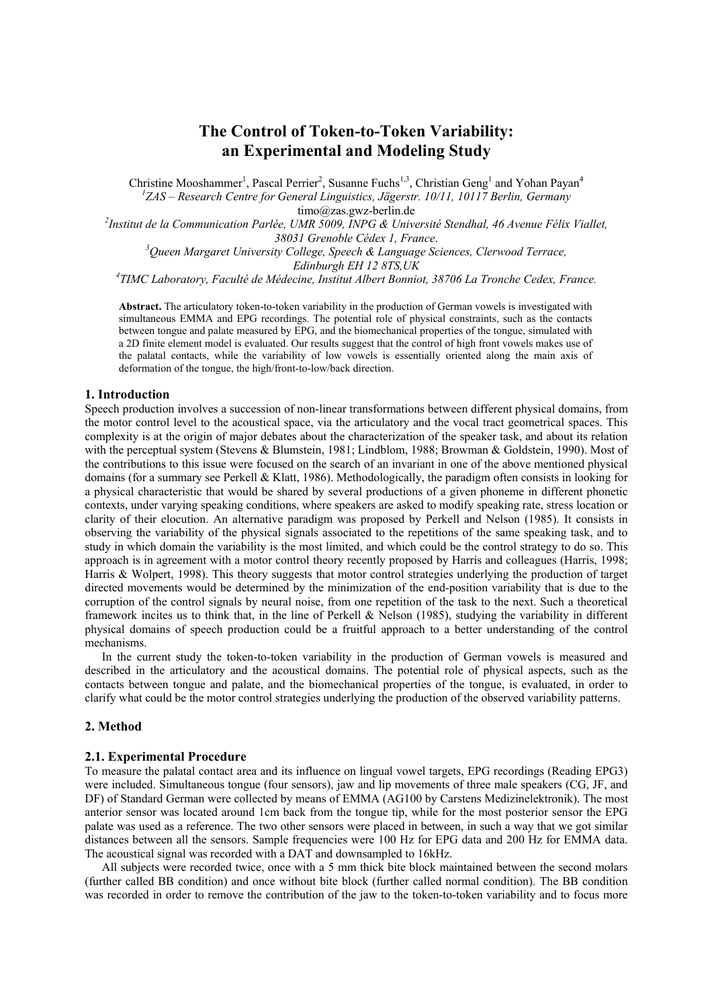# **The Control of Token-to-Token Variability: an Experimental and Modeling Study**

Christine Mooshammer<sup>1</sup>, Pascal Perrier<sup>2</sup>, Susanne Fuchs<sup>1,3</sup>, Christian Geng<sup>1</sup> and Yohan Payan<sup>4</sup> *1 ZAS – Research Centre for General Linguistics, Jägerstr. 10/11, 10117 Berlin, Germany*

timo@zas.gwz-berlin.de<br><sup>2</sup>Institut de la Communication Parlée, UMR 5009, INPG & Université Stendhal, 46 Avenue Félix Viallet,

*38031 Grenoble Cédex 1, France*. *<sup>3</sup> Queen Margaret University College, Speech & Language Sciences, Clerwood Terrace,* 

*Edinburgh EH 12 8TS,UK 4 TIMC Laboratory, Faculté de Médecine, Institut Albert Bonniot, 38706 La Tronche Cedex, France.* 

**Abstract.** The articulatory token-to-token variability in the production of German vowels is investigated with simultaneous EMMA and EPG recordings. The potential role of physical constraints, such as the contacts between tongue and palate measured by EPG, and the biomechanical properties of the tongue, simulated with a 2D finite element model is evaluated. Our results suggest that the control of high front vowels makes use of the palatal contacts, while the variability of low vowels is essentially oriented along the main axis of deformation of the tongue, the high/front-to-low/back direction.

#### **1. Introduction**

Speech production involves a succession of non-linear transformations between different physical domains, from the motor control level to the acoustical space, via the articulatory and the vocal tract geometrical spaces. This complexity is at the origin of major debates about the characterization of the speaker task, and about its relation with the perceptual system (Stevens & Blumstein, 1981; Lindblom, 1988; Browman & Goldstein, 1990). Most of the contributions to this issue were focused on the search of an invariant in one of the above mentioned physical domains (for a summary see Perkell & Klatt, 1986). Methodologically, the paradigm often consists in looking for a physical characteristic that would be shared by several productions of a given phoneme in different phonetic contexts, under varying speaking conditions, where speakers are asked to modify speaking rate, stress location or clarity of their elocution. An alternative paradigm was proposed by Perkell and Nelson (1985). It consists in observing the variability of the physical signals associated to the repetitions of the same speaking task, and to study in which domain the variability is the most limited, and which could be the control strategy to do so. This approach is in agreement with a motor control theory recently proposed by Harris and colleagues (Harris, 1998; Harris & Wolpert, 1998). This theory suggests that motor control strategies underlying the production of target directed movements would be determined by the minimization of the end-position variability that is due to the corruption of the control signals by neural noise, from one repetition of the task to the next. Such a theoretical framework incites us to think that, in the line of Perkell & Nelson (1985), studying the variability in different physical domains of speech production could be a fruitful approach to a better understanding of the control mechanisms.

In the current study the token-to-token variability in the production of German vowels is measured and described in the articulatory and the acoustical domains. The potential role of physical aspects, such as the contacts between tongue and palate, and the biomechanical properties of the tongue, is evaluated, in order to clarify what could be the motor control strategies underlying the production of the observed variability patterns.

## **2. Method**

## **2.1. Experimental Procedure**

To measure the palatal contact area and its influence on lingual vowel targets, EPG recordings (Reading EPG3) were included. Simultaneous tongue (four sensors), jaw and lip movements of three male speakers (CG, JF, and DF) of Standard German were collected by means of EMMA (AG100 by Carstens Medizinelektronik). The most anterior sensor was located around 1cm back from the tongue tip, while for the most posterior sensor the EPG palate was used as a reference. The two other sensors were placed in between, in such a way that we got similar distances between all the sensors. Sample frequencies were 100 Hz for EPG data and 200 Hz for EMMA data. The acoustical signal was recorded with a DAT and downsampled to 16kHz.

All subjects were recorded twice, once with a 5 mm thick bite block maintained between the second molars (further called BB condition) and once without bite block (further called normal condition). The BB condition was recorded in order to remove the contribution of the jaw to the token-to-token variability and to focus more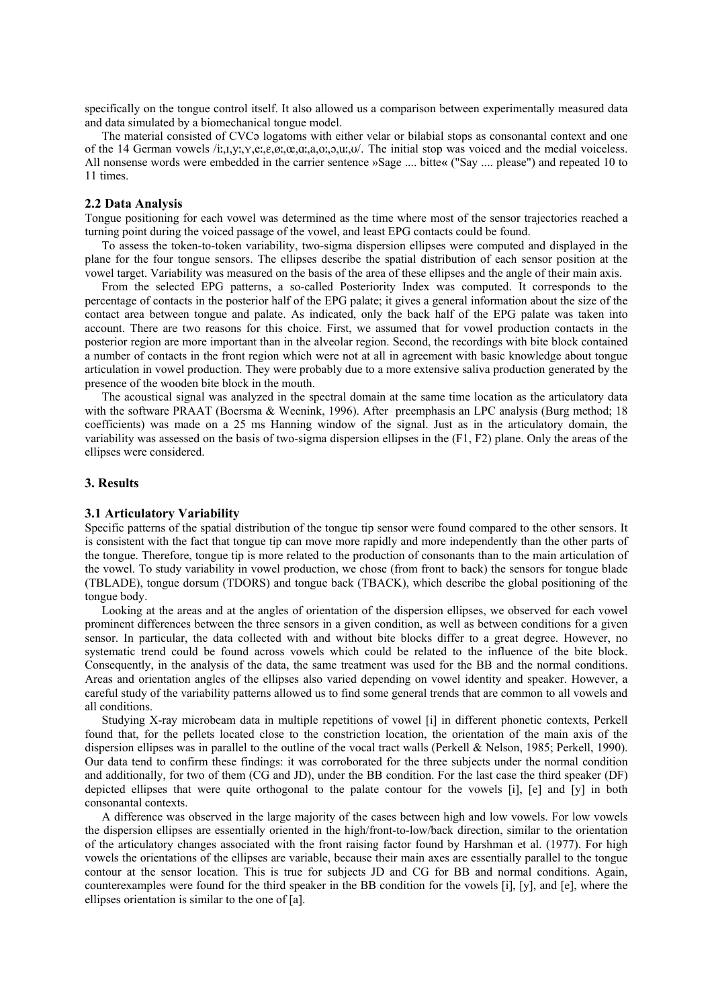specifically on the tongue control itself. It also allowed us a comparison between experimentally measured data and data simulated by a biomechanical tongue model.

The material consisted of CVC<sub>2</sub> logatoms with either velar or bilabial stops as consonantal context and one of the 14 German vowels /i.,t,y., y,e,e,e,ø, c,a,a,o,,o,u, u/. The initial stop was voiced and the medial voiceless. All nonsense words were embedded in the carrier sentence »Sage .... bitte**«** ("Say .... please") and repeated 10 to 11 times.

## **2.2 Data Analysis**

Tongue positioning for each vowel was determined as the time where most of the sensor trajectories reached a turning point during the voiced passage of the vowel, and least EPG contacts could be found.

To assess the token-to-token variability, two-sigma dispersion ellipses were computed and displayed in the plane for the four tongue sensors. The ellipses describe the spatial distribution of each sensor position at the vowel target. Variability was measured on the basis of the area of these ellipses and the angle of their main axis.

From the selected EPG patterns, a so-called Posteriority Index was computed. It corresponds to the percentage of contacts in the posterior half of the EPG palate; it gives a general information about the size of the contact area between tongue and palate. As indicated, only the back half of the EPG palate was taken into account. There are two reasons for this choice. First, we assumed that for vowel production contacts in the posterior region are more important than in the alveolar region. Second, the recordings with bite block contained a number of contacts in the front region which were not at all in agreement with basic knowledge about tongue articulation in vowel production. They were probably due to a more extensive saliva production generated by the presence of the wooden bite block in the mouth.

The acoustical signal was analyzed in the spectral domain at the same time location as the articulatory data with the software PRAAT (Boersma & Weenink, 1996). After preemphasis an LPC analysis (Burg method; 18 coefficients) was made on a 25 ms Hanning window of the signal. Just as in the articulatory domain, the variability was assessed on the basis of two-sigma dispersion ellipses in the (F1, F2) plane. Only the areas of the ellipses were considered.

## **3. Results**

#### **3.1 Articulatory Variability**

Specific patterns of the spatial distribution of the tongue tip sensor were found compared to the other sensors. It is consistent with the fact that tongue tip can move more rapidly and more independently than the other parts of the tongue. Therefore, tongue tip is more related to the production of consonants than to the main articulation of the vowel. To study variability in vowel production, we chose (from front to back) the sensors for tongue blade (TBLADE), tongue dorsum (TDORS) and tongue back (TBACK), which describe the global positioning of the tongue body.

Looking at the areas and at the angles of orientation of the dispersion ellipses, we observed for each vowel prominent differences between the three sensors in a given condition, as well as between conditions for a given sensor. In particular, the data collected with and without bite blocks differ to a great degree. However, no systematic trend could be found across vowels which could be related to the influence of the bite block. Consequently, in the analysis of the data, the same treatment was used for the BB and the normal conditions. Areas and orientation angles of the ellipses also varied depending on vowel identity and speaker. However, a careful study of the variability patterns allowed us to find some general trends that are common to all vowels and all conditions.

Studying X-ray microbeam data in multiple repetitions of vowel [i] in different phonetic contexts, Perkell found that, for the pellets located close to the constriction location, the orientation of the main axis of the dispersion ellipses was in parallel to the outline of the vocal tract walls (Perkell & Nelson, 1985; Perkell, 1990). Our data tend to confirm these findings: it was corroborated for the three subjects under the normal condition and additionally, for two of them (CG and JD), under the BB condition. For the last case the third speaker (DF) depicted ellipses that were quite orthogonal to the palate contour for the vowels [i], [e] and [y] in both consonantal contexts.

A difference was observed in the large majority of the cases between high and low vowels. For low vowels the dispersion ellipses are essentially oriented in the high/front-to-low/back direction, similar to the orientation of the articulatory changes associated with the front raising factor found by Harshman et al. (1977). For high vowels the orientations of the ellipses are variable, because their main axes are essentially parallel to the tongue contour at the sensor location. This is true for subjects JD and CG for BB and normal conditions. Again, counterexamples were found for the third speaker in the BB condition for the vowels [i], [y], and [e], where the ellipses orientation is similar to the one of [a].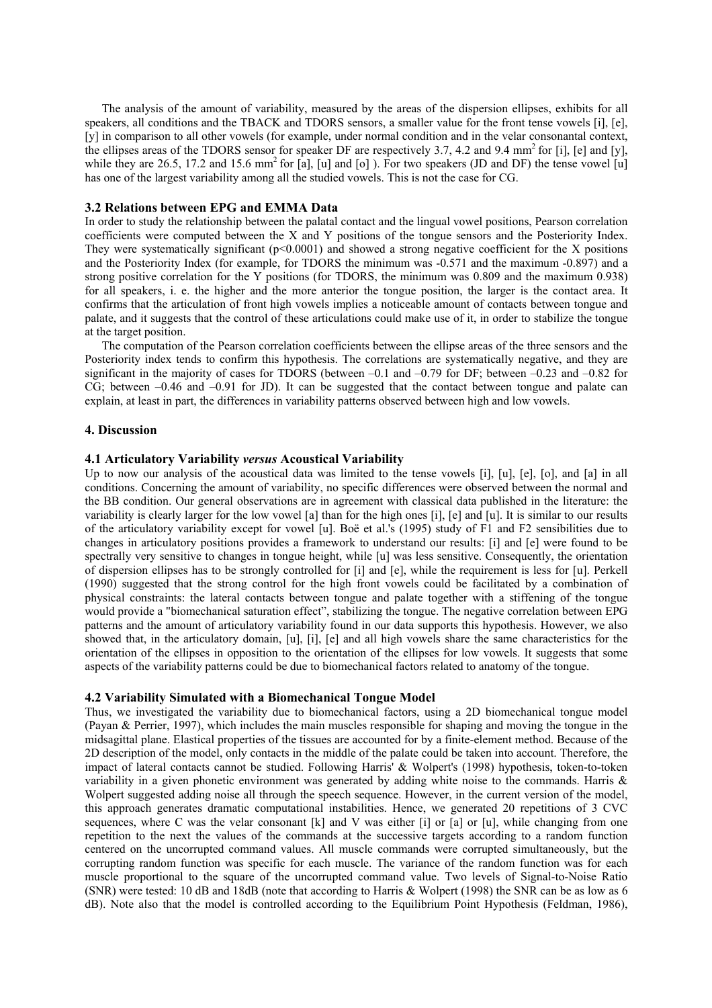The analysis of the amount of variability, measured by the areas of the dispersion ellipses, exhibits for all speakers, all conditions and the TBACK and TDORS sensors, a smaller value for the front tense vowels [i], [e], [y] in comparison to all other vowels (for example, under normal condition and in the velar consonantal context, the ellipses areas of the TDORS sensor for speaker DF are respectively 3.7, 4.2 and 9.4 mm2 for [i], [e] and [y], while they are 26.5, 17.2 and 15.6 mm<sup>2</sup> for [a], [u] and [o] ). For two speakers (JD and DF) the tense vowel [u] has one of the largest variability among all the studied vowels. This is not the case for CG.

## **3.2 Relations between EPG and EMMA Data**

In order to study the relationship between the palatal contact and the lingual vowel positions, Pearson correlation coefficients were computed between the X and Y positions of the tongue sensors and the Posteriority Index. They were systematically significant ( $p \le 0.0001$ ) and showed a strong negative coefficient for the X positions and the Posteriority Index (for example, for TDORS the minimum was -0.571 and the maximum -0.897) and a strong positive correlation for the Y positions (for TDORS, the minimum was 0.809 and the maximum 0.938) for all speakers, i. e. the higher and the more anterior the tongue position, the larger is the contact area. It confirms that the articulation of front high vowels implies a noticeable amount of contacts between tongue and palate, and it suggests that the control of these articulations could make use of it, in order to stabilize the tongue at the target position.

The computation of the Pearson correlation coefficients between the ellipse areas of the three sensors and the Posteriority index tends to confirm this hypothesis. The correlations are systematically negative, and they are significant in the majority of cases for TDORS (between –0.1 and –0.79 for DF; between –0.23 and –0.82 for CG; between –0.46 and –0.91 for JD). It can be suggested that the contact between tongue and palate can explain, at least in part, the differences in variability patterns observed between high and low vowels.

## **4. Discussion**

#### **4.1 Articulatory Variability** *versus* **Acoustical Variability**

Up to now our analysis of the acoustical data was limited to the tense vowels [i], [u], [e], [o], and [a] in all conditions. Concerning the amount of variability, no specific differences were observed between the normal and the BB condition. Our general observations are in agreement with classical data published in the literature: the variability is clearly larger for the low vowel [a] than for the high ones [i], [e] and [u]. It is similar to our results of the articulatory variability except for vowel [u]. Boë et al.'s (1995) study of F1 and F2 sensibilities due to changes in articulatory positions provides a framework to understand our results: [i] and [e] were found to be spectrally very sensitive to changes in tongue height, while [u] was less sensitive. Consequently, the orientation of dispersion ellipses has to be strongly controlled for [i] and [e], while the requirement is less for [u]. Perkell (1990) suggested that the strong control for the high front vowels could be facilitated by a combination of physical constraints: the lateral contacts between tongue and palate together with a stiffening of the tongue would provide a "biomechanical saturation effect", stabilizing the tongue. The negative correlation between EPG patterns and the amount of articulatory variability found in our data supports this hypothesis. However, we also showed that, in the articulatory domain, [u], [i], [e] and all high vowels share the same characteristics for the orientation of the ellipses in opposition to the orientation of the ellipses for low vowels. It suggests that some aspects of the variability patterns could be due to biomechanical factors related to anatomy of the tongue.

## **4.2 Variability Simulated with a Biomechanical Tongue Model**

Thus, we investigated the variability due to biomechanical factors, using a 2D biomechanical tongue model (Payan & Perrier, 1997), which includes the main muscles responsible for shaping and moving the tongue in the midsagittal plane. Elastical properties of the tissues are accounted for by a finite-element method. Because of the 2D description of the model, only contacts in the middle of the palate could be taken into account. Therefore, the impact of lateral contacts cannot be studied. Following Harris' & Wolpert's (1998) hypothesis, token-to-token variability in a given phonetic environment was generated by adding white noise to the commands. Harris & Wolpert suggested adding noise all through the speech sequence. However, in the current version of the model, this approach generates dramatic computational instabilities. Hence, we generated 20 repetitions of 3 CVC sequences, where C was the velar consonant [k] and V was either [i] or [a] or [u], while changing from one repetition to the next the values of the commands at the successive targets according to a random function centered on the uncorrupted command values. All muscle commands were corrupted simultaneously, but the corrupting random function was specific for each muscle. The variance of the random function was for each muscle proportional to the square of the uncorrupted command value. Two levels of Signal-to-Noise Ratio (SNR) were tested: 10 dB and 18dB (note that according to Harris & Wolpert (1998) the SNR can be as low as 6 dB). Note also that the model is controlled according to the Equilibrium Point Hypothesis (Feldman, 1986),